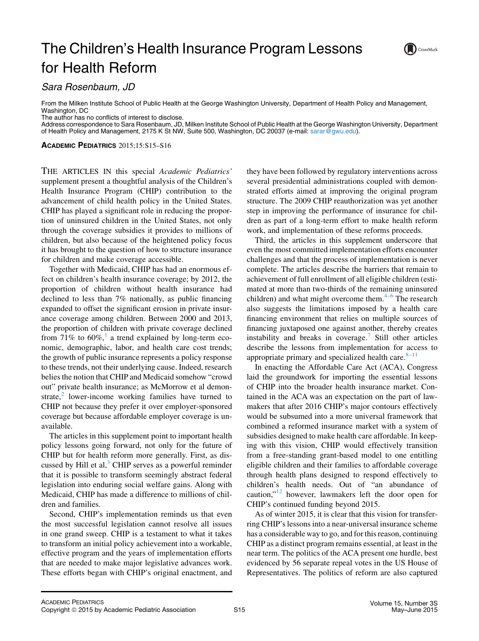## The Children's Health Insurance Program Lessons for Health Reform



Sara Rosenbaum, JD

From the Milken Institute School of Public Health at the George Washington University, Department of Health Policy and Management, Washington, DC

The author has no conflicts of interest to disclose.

Address correspondence to Sara Rosenbaum, JD, Milken Institute School of Public Health at the George Washington University, Department of Health Policy and Management, 2175 K St NW, Suite 500, Washington, DC 20037 (e-mail: [sarar@gwu.edu](mailto:sarar@gwu.edu)).

ACADEMIC PEDIATRICS 2015;15:S15–S16

THE ARTICLES IN this special Academic Pediatrics' supplement present a thoughtful analysis of the Children's Health Insurance Program (CHIP) contribution to the advancement of child health policy in the United States. CHIP has played a significant role in reducing the proportion of uninsured children in the United States, not only through the coverage subsidies it provides to millions of children, but also because of the heightened policy focus it has brought to the question of how to structure insurance for children and make coverage accessible.

Together with Medicaid, CHIP has had an enormous effect on children's health insurance coverage; by 2012, the proportion of children without health insurance had declined to less than 7% nationally, as public financing expanded to offset the significant erosion in private insurance coverage among children. Between 2000 and 2013, the proportion of children with private coverage declined from 7[1](#page-1-0)% to  $60\%$ ,<sup>1</sup> a trend explained by long-term economic, demographic, labor, and health care cost trends; the growth of public insurance represents a policy response to these trends, not their underlying cause. Indeed, research belies the notion that CHIP and Medicaid somehow "crowd out" private health insurance; as McMorrow et al demonstrate, $\lambda$  lower-income working families have turned to CHIP not because they prefer it over employer-sponsored coverage but because affordable employer coverage is unavailable.

The articles in this supplement point to important health policy lessons going forward, not only for the future of CHIP but for health reform more generally. First, as dis-cussed by Hill et al,<sup>[3](#page-1-0)</sup> CHIP serves as a powerful reminder that it is possible to transform seemingly abstract federal legislation into enduring social welfare gains. Along with Medicaid, CHIP has made a difference to millions of children and families.

Second, CHIP's implementation reminds us that even the most successful legislation cannot resolve all issues in one grand sweep. CHIP is a testament to what it takes to transform an initial policy achievement into a workable, effective program and the years of implementation efforts that are needed to make major legislative advances work. These efforts began with CHIP's original enactment, and

they have been followed by regulatory interventions across several presidential administrations coupled with demonstrated efforts aimed at improving the original program structure. The 2009 CHIP reauthorization was yet another step in improving the performance of insurance for children as part of a long-term effort to make health reform work, and implementation of these reforms proceeds.

Third, the articles in this supplement underscore that even the most committed implementation efforts encounter challenges and that the process of implementation is never complete. The articles describe the barriers that remain to achievement of full enrollment of all eligible children (estimated at more than two-thirds of the remaining uninsured children) and what might overcome them. $4-6$  The research also suggests the limitations imposed by a health care financing environment that relies on multiple sources of financing juxtaposed one against another, thereby creates instability and breaks in coverage.<sup>[7](#page-1-0)</sup> Still other articles describe the lessons from implementation for access to appropriate primary and specialized health care. $8-11$ 

In enacting the Affordable Care Act (ACA), Congress laid the groundwork for importing the essential lessons of CHIP into the broader health insurance market. Contained in the ACA was an expectation on the part of lawmakers that after 2016 CHIP's major contours effectively would be subsumed into a more universal framework that combined a reformed insurance market with a system of subsidies designed to make health care affordable. In keeping with this vision, CHIP would effectively transition from a free-standing grant-based model to one entitling eligible children and their families to affordable coverage through health plans designed to respond effectively to children's health needs. Out of "an abundance of caution,"[12](#page-1-0) however, lawmakers left the door open for CHIP's continued funding beyond 2015.

As of winter 2015, it is clear that this vision for transferring CHIP's lessons into a near-universal insurance scheme has a considerable way to go, and for this reason, continuing CHIP as a distinct program remains essential, at least in the near term. The politics of the ACA present one hurdle, best evidenced by 56 separate repeal votes in the US House of Representatives. The politics of reform are also captured